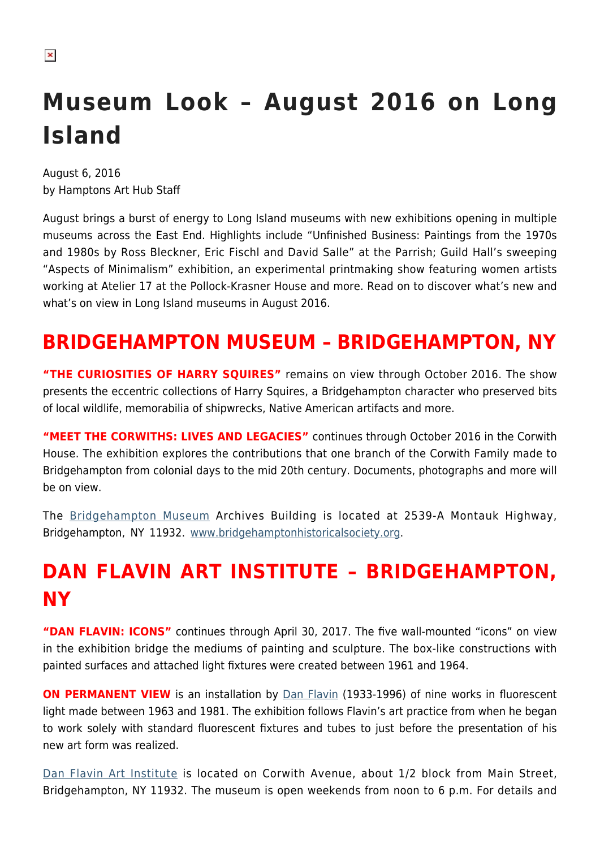# **Museum Look – August 2016 on Long Island**

August 6, 2016 by Hamptons Art Hub Staff

August brings a burst of energy to Long Island museums with new exhibitions opening in multiple museums across the East End. Highlights include "Unfinished Business: Paintings from the 1970s and 1980s by Ross Bleckner, Eric Fischl and David Salle" at the Parrish; Guild Hall's sweeping "Aspects of Minimalism" exhibition, an experimental printmaking show featuring women artists working at Atelier 17 at the Pollock-Krasner House and more. Read on to discover what's new and what's on view in Long Island museums in August 2016.

#### **BRIDGEHAMPTON MUSEUM – BRIDGEHAMPTON, NY**

**"THE CURIOSITIES OF HARRY SQUIRES"** remains on view through October 2016. The show presents the eccentric collections of Harry Squires, a Bridgehampton character who preserved bits of local wildlife, memorabilia of shipwrecks, Native American artifacts and more.

**"MEET THE CORWITHS: LIVES AND LEGACIES"** continues through October 2016 in the Corwith House. The exhibition explores the contributions that one branch of the Corwith Family made to Bridgehampton from colonial days to the mid 20th century. Documents, photographs and more will be on view.

The [Bridgehampton Museum](https://hamptonsarthub.com/museum-guide/bridgehampton-museum/) Archives Building is located at 2539-A Montauk Highway, Bridgehampton, NY 11932. [www.bridgehamptonhistoricalsociety.org](http://www.bridgehamptonhistoricalsociety.org).

# **DAN FLAVIN ART INSTITUTE – BRIDGEHAMPTON, NY**

**"DAN FLAVIN: ICONS"** continues through April 30, 2017. The five wall-mounted "icons" on view in the exhibition bridge the mediums of painting and sculpture. The box-like constructions with painted surfaces and attached light fixtures were created between 1961 and 1964.

**ON PERMANENT VIEW** is an installation by **[Dan Flavin](https://en.wikipedia.org/wiki/Dan_Flavin)** (1933-1996) of nine works in fluorescent light made between 1963 and 1981. The exhibition follows Flavin's art practice from when he began to work solely with standard fluorescent fixtures and tubes to just before the presentation of his new art form was realized.

[Dan Flavin Art Institute](https://hamptonsarthub.com/museum-guide/dan-flavin-art-institute/) is located on Corwith Avenue, about 1/2 block from Main Street, Bridgehampton, NY 11932. The museum is open weekends from noon to 6 p.m. For details and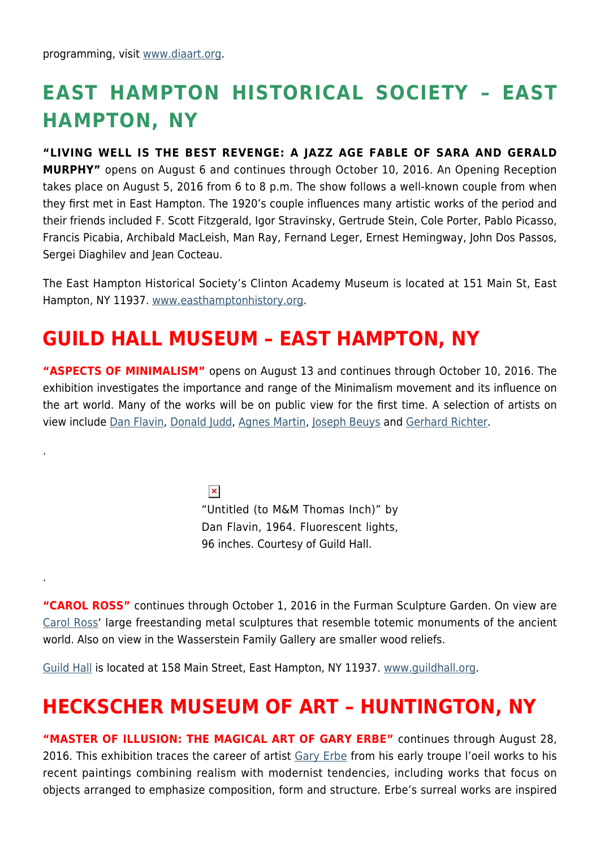.

.

### **EAST HAMPTON HISTORICAL SOCIETY – EAST HAMPTON, NY**

**"LIVING WELL IS THE BEST REVENGE: A JAZZ AGE FABLE OF SARA AND GERALD MURPHY"** opens on August 6 and continues through October 10, 2016. An Opening Reception takes place on August 5, 2016 from 6 to 8 p.m. The show follows a well-known couple from when they first met in East Hampton. The 1920's couple influences many artistic works of the period and their friends included F. Scott Fitzgerald, Igor Stravinsky, Gertrude Stein, Cole Porter, Pablo Picasso, Francis Picabia, Archibald MacLeish, Man Ray, Fernand Leger, Ernest Hemingway, John Dos Passos, Sergei Diaghilev and Jean Cocteau.

The East Hampton Historical Society's Clinton Academy Museum is located at 151 Main St, East Hampton, NY 11937. [www.easthamptonhistory.org](http://www.easthamptonhistory.org).

#### **GUILD HALL MUSEUM – EAST HAMPTON, NY**

**"ASPECTS OF MINIMALISM"** opens on August 13 and continues through October 10, 2016. The exhibition investigates the importance and range of the Minimalism movement and its influence on the art world. Many of the works will be on public view for the first time. A selection of artists on view include [Dan Flavin,](https://en.wikipedia.org/wiki/Dan_Flavin) [Donald Judd](http://www.juddfoundation.org/), [Agnes Martin,](https://en.wikipedia.org/wiki/Agnes_Martin) [Joseph Beuys](http://www.theartstory.org/artist-beuys-joseph.htm) and [Gerhard Richter.](https://www.gerhard-richter.com/en/)

> $\pmb{\times}$ "Untitled (to M&M Thomas Inch)" by Dan Flavin, 1964. Fluorescent lights, 96 inches. Courtesy of Guild Hall.

**"CAROL ROSS"** continues through October 1, 2016 in the Furman Sculpture Garden. On view are [Carol Ross'](http://carolross-artworks.net/) large freestanding metal sculptures that resemble totemic monuments of the ancient world. Also on view in the Wasserstein Family Gallery are smaller wood reliefs.

[Guild Hall](https://hamptonsarthub.com/museum-guide/guild-hall/) is located at 158 Main Street, East Hampton, NY 11937. [www.guildhall.org](http://www.guildhall.org).

#### **HECKSCHER MUSEUM OF ART – HUNTINGTON, NY**

**"MASTER OF ILLUSION: THE MAGICAL ART OF GARY ERBE"** continues through August 28, 2016. This exhibition traces the career of artist [Gary Erbe](http://www.garyerbe.com/) from his early troupe l'oeil works to his recent paintings combining realism with modernist tendencies, including works that focus on objects arranged to emphasize composition, form and structure. Erbe's surreal works are inspired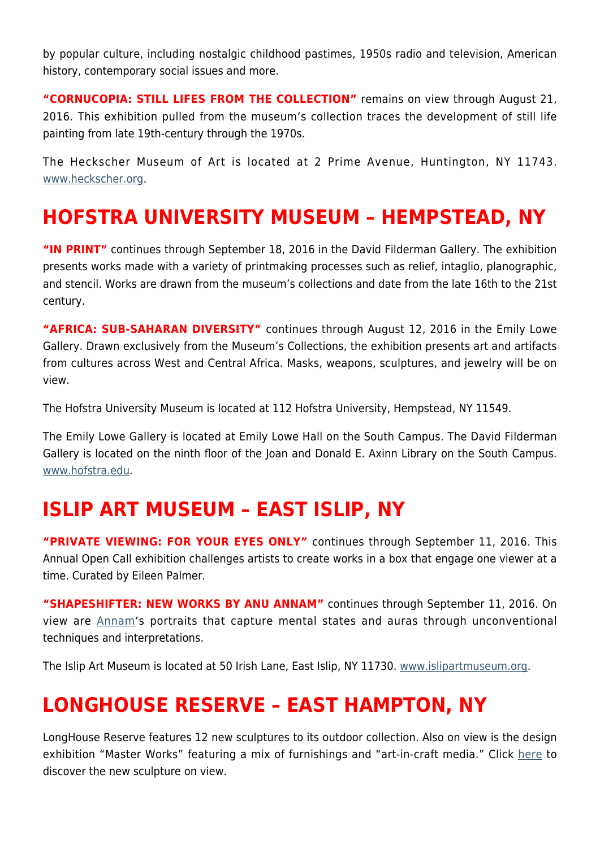by popular culture, including nostalgic childhood pastimes, 1950s radio and television, American history, contemporary social issues and more.

**"CORNUCOPIA: STILL LIFES FROM THE COLLECTION"** remains on view through August 21, 2016. This exhibition pulled from the museum's collection traces the development of still life painting from late 19th-century through the 1970s.

The Heckscher Museum of Art is located at 2 Prime Avenue, Huntington, NY 11743. [www.heckscher.org](http://www.heckscher.org).

#### **HOFSTRA UNIVERSITY MUSEUM – HEMPSTEAD, NY**

**"IN PRINT"** continues through September 18, 2016 in the David Filderman Gallery. The exhibition presents works made with a variety of printmaking processes such as relief, intaglio, planographic, and stencil. Works are drawn from the museum's collections and date from the late 16th to the 21st century.

**"AFRICA: SUB-SAHARAN DIVERSITY"** continues through August 12, 2016 in the Emily Lowe Gallery. Drawn exclusively from the Museum's Collections, the exhibition presents art and artifacts from cultures across West and Central Africa. Masks, weapons, sculptures, and jewelry will be on view.

The Hofstra University Museum is located at 112 Hofstra University, Hempstead, NY 11549.

The Emily Lowe Gallery is located at Emily Lowe Hall on the South Campus. The David Filderman Gallery is located on the ninth floor of the Joan and Donald E. Axinn Library on the South Campus. [www.hofstra.edu.](http://www.hofstra.edu)

#### **ISLIP ART MUSEUM – EAST ISLIP, NY**

**"PRIVATE VIEWING: FOR YOUR EYES ONLY"** continues through September 11, 2016. This Annual Open Call exhibition challenges artists to create works in a box that engage one viewer at a time. Curated by Eileen Palmer.

**"SHAPESHIFTER: NEW WORKS BY ANU ANNAM"** continues through September 11, 2016. On view are [Annam](https://www.facebook.com/anuannamartsandillustration/)'s portraits that capture mental states and auras through unconventional techniques and interpretations.

The Islip Art Museum is located at 50 Irish Lane, East Islip, NY 11730. [www.islipartmuseum.org.](http://www.islipartmuseum.org)

#### **LONGHOUSE RESERVE – EAST HAMPTON, NY**

LongHouse Reserve features 12 new sculptures to its outdoor collection. Also on view is the design exhibition "Master Works" featuring a mix of furnishings and "art-in-craft media." Click [here](https://hamptonsarthub.com/2016/04/27/exhibitions-new-sculptures-unveiled-for-longhouses-summer-season/) to discover the new sculpture on view.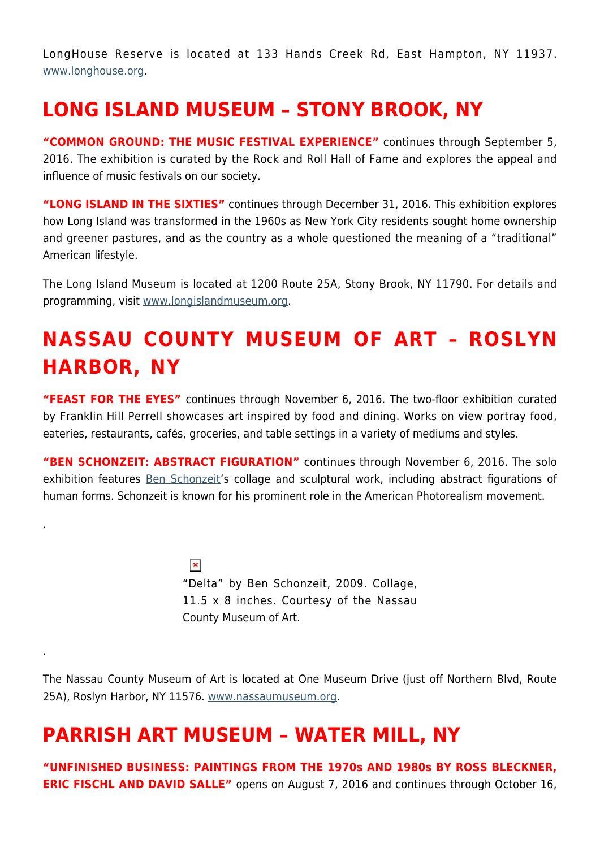LongHouse Reserve is located at 133 Hands Creek Rd, East Hampton, NY 11937. [www.longhouse.org.](http://www.longhouse.org)

#### **LONG ISLAND MUSEUM – STONY BROOK, NY**

**"COMMON GROUND: THE MUSIC FESTIVAL EXPERIENCE"** continues through September 5, 2016. The exhibition is curated by the Rock and Roll Hall of Fame and explores the appeal and influence of music festivals on our society.

**"LONG ISLAND IN THE SIXTIES"** continues through December 31, 2016. This exhibition explores how Long Island was transformed in the 1960s as New York City residents sought home ownership and greener pastures, and as the country as a whole questioned the meaning of a "traditional" American lifestyle.

The Long Island Museum is located at 1200 Route 25A, Stony Brook, NY 11790. For details and programming, visit [www.longislandmuseum.org.](http://www.longislandmuseum.org)

## **NASSAU COUNTY MUSEUM OF ART – ROSLYN HARBOR, NY**

**"FEAST FOR THE EYES"** continues through November 6, 2016. The two-floor exhibition curated by Franklin Hill Perrell showcases art inspired by food and dining. Works on view portray food, eateries, restaurants, cafés, groceries, and table settings in a variety of mediums and styles.

**"BEN SCHONZEIT: ABSTRACT FIGURATION"** continues through November 6, 2016. The solo exhibition features [Ben Schonzeit'](http://www.benschonzeit.com)s collage and sculptural work, including abstract figurations of human forms. Schonzeit is known for his prominent role in the American Photorealism movement.

> $\pmb{\times}$ "Delta" by Ben Schonzeit, 2009. Collage, 11.5 x 8 inches. Courtesy of the Nassau County Museum of Art.

The Nassau County Museum of Art is located at One Museum Drive (just off Northern Blvd, Route 25A), Roslyn Harbor, NY 11576. [www.nassaumuseum.org](http://www.nassaumuseum.org).

### **PARRISH ART MUSEUM – WATER MILL, NY**

.

.

**"UNFINISHED BUSINESS: PAINTINGS FROM THE 1970s AND 1980s BY ROSS BLECKNER, ERIC FISCHL AND DAVID SALLE"** opens on August 7, 2016 and continues through October 16,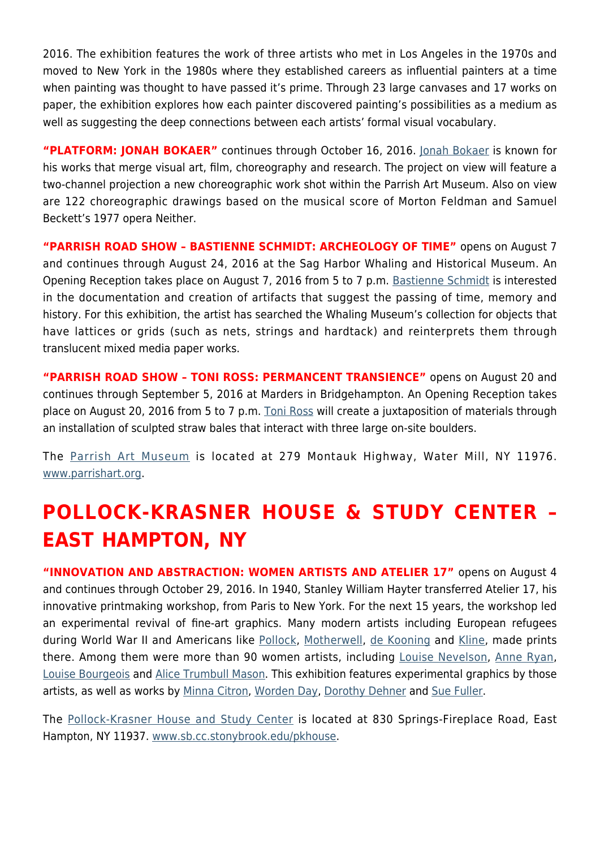2016. The exhibition features the work of three artists who met in Los Angeles in the 1970s and moved to New York in the 1980s where they established careers as influential painters at a time when painting was thought to have passed it's prime. Through 23 large canvases and 17 works on paper, the exhibition explores how each painter discovered painting's possibilities as a medium as well as suggesting the deep connections between each artists' formal visual vocabulary.

**"PLATFORM: JONAH BOKAER"** continues through October 16, 2016. [Jonah Bokaer](http://jonahbokaer.net/) is known for his works that merge visual art, film, choreography and research. The project on view will feature a two-channel projection a new choreographic work shot within the Parrish Art Museum. Also on view are 122 choreographic drawings based on the musical score of Morton Feldman and Samuel Beckett's 1977 opera Neither.

**"PARRISH ROAD SHOW – BASTIENNE SCHMIDT: ARCHEOLOGY OF TIME"** opens on August 7 and continues through August 24, 2016 at the Sag Harbor Whaling and Historical Museum. An Opening Reception takes place on August 7, 2016 from 5 to 7 p.m. [Bastienne Schmidt](http://www.bastienneschmidt.com/) is interested in the documentation and creation of artifacts that suggest the passing of time, memory and history. For this exhibition, the artist has searched the Whaling Museum's collection for objects that have lattices or grids (such as nets, strings and hardtack) and reinterprets them through translucent mixed media paper works.

**"PARRISH ROAD SHOW – TONI ROSS: PERMANCENT TRANSIENCE"** opens on August 20 and continues through September 5, 2016 at Marders in Bridgehampton. An Opening Reception takes place on August 20, 2016 from 5 to 7 p.m. [Toni Ross](http://www.tonirossstudio.com/) will create a juxtaposition of materials through an installation of sculpted straw bales that interact with three large on-site boulders.

The [Parrish Art Museum](https://hamptonsarthub.com/museum-guide/the-parrish-art-museum/) is located at 279 Montauk Highway, Water Mill, NY 11976. [www.parrishart.org](http://www.parrishart.org).

### **POLLOCK-KRASNER HOUSE & STUDY CENTER – EAST HAMPTON, NY**

**"INNOVATION AND ABSTRACTION: WOMEN ARTISTS AND ATELIER 17"** opens on August 4 and continues through October 29, 2016. In 1940, Stanley William Hayter transferred Atelier 17, his innovative printmaking workshop, from Paris to New York. For the next 15 years, the workshop led an experimental revival of fine-art graphics. Many modern artists including European refugees during World War II and Americans like [Pollock](https://hamptonsarthub.com/2016/01/25/biography-of-a-pollock-painting-the-artists-hand/), [Motherwell,](https://hamptonsarthub.com/2014/08/25/art-review-at-guild-hall-motherwells-process-of-evolution-revealed/) [de Kooning](http://www.theartstory.org/artist-de-kooning-willem.htm) and [Kline](https://en.wikipedia.org/wiki/Franz_Kline), made prints there. Among them were more than 90 women artists, including [Louise Nevelson,](http://www.louisenevelsonfoundation.org/) [Anne Ryan,](https://en.wikipedia.org/wiki/Anne_Ryan) [Louise Bourgeois](http://www.theartstory.org/artist-bourgeois-louise.htm) and [Alice Trumbull Mason](http://americanart.si.edu/collections/search/artist/?id=3151). This exhibition features experimental graphics by those artists, as well as works by [Minna Citron](http://www.nytimes.com/1991/12/24/arts/minna-citron-95-artist-whose-work-spanned-2-schools.html), [Worden Day](https://en.wikipedia.org/wiki/Worden_Day), [Dorothy Dehner](http://www.phillipscollection.org/research/american_art/bios/dehner-bio.htm) and [Sue Fuller](http://www.metmuseum.org/art/collection/search/488831).

The [Pollock-Krasner House and Study Center](https://hamptonsarthub.com/museum-guide/pollock-krasner-house-and-study-center/) is located at 830 Springs-Fireplace Road, East Hampton, NY 11937. [www.sb.cc.stonybrook.edu/pkhouse.](http://www.sb.cc.stonybrook.edu/pkhouse)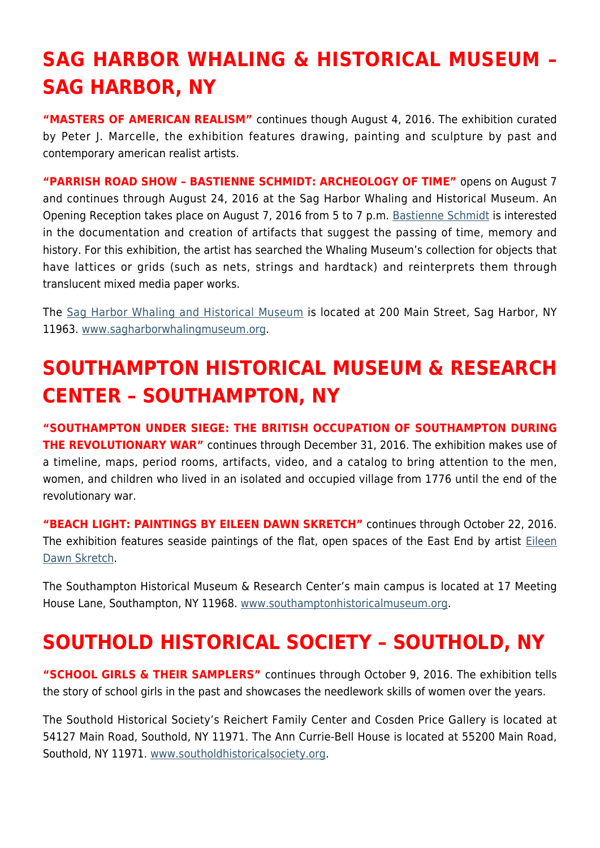# **SAG HARBOR WHALING & HISTORICAL MUSEUM – SAG HARBOR, NY**

**"MASTERS OF AMERICAN REALISM"** continues though August 4, 2016. The exhibition curated by Peter J. Marcelle, the exhibition features drawing, painting and sculpture by past and contemporary american realist artists.

**"PARRISH ROAD SHOW – BASTIENNE SCHMIDT: ARCHEOLOGY OF TIME"** opens on August 7 and continues through August 24, 2016 at the Sag Harbor Whaling and Historical Museum. An Opening Reception takes place on August 7, 2016 from 5 to 7 p.m. [Bastienne Schmidt](http://www.bastienneschmidt.com/) is interested in the documentation and creation of artifacts that suggest the passing of time, memory and history. For this exhibition, the artist has searched the Whaling Museum's collection for objects that have lattices or grids (such as nets, strings and hardtack) and reinterprets them through translucent mixed media paper works.

The [Sag Harbor Whaling and Historical Museum](https://hamptonsarthub.com/museum-guide/sag-harbor-whaling-museum/) is located at 200 Main Street, Sag Harbor, NY 11963. [www.sagharborwhalingmuseum.org](http://www.sagharborwhalingmuseum.org).

## **SOUTHAMPTON HISTORICAL MUSEUM & RESEARCH CENTER – SOUTHAMPTON, NY**

**"SOUTHAMPTON UNDER SIEGE: THE BRITISH OCCUPATION OF SOUTHAMPTON DURING THE REVOLUTIONARY WAR"** continues through December 31, 2016. The exhibition makes use of a timeline, maps, period rooms, artifacts, video, and a catalog to bring attention to the men, women, and children who lived in an isolated and occupied village from 1776 until the end of the revolutionary war.

**"BEACH LIGHT: PAINTINGS BY EILEEN DAWN SKRETCH"** continues through October 22, 2016. The exhibition features seaside paintings of the flat, open spaces of the East End by artist [Eileen](http://www.eileendawnskretch.com/) [Dawn Skretch](http://www.eileendawnskretch.com/).

The Southampton Historical Museum & Research Center's main campus is located at 17 Meeting House Lane, Southampton, NY 11968. [www.southamptonhistoricalmuseum.org](http://www.southamptonhistoricalmuseum.org).

### **SOUTHOLD HISTORICAL SOCIETY – SOUTHOLD, NY**

**"SCHOOL GIRLS & THEIR SAMPLERS"** continues through October 9, 2016. The exhibition tells the story of school girls in the past and showcases the needlework skills of women over the years.

The Southold Historical Society's Reichert Family Center and Cosden Price Gallery is located at 54127 Main Road, Southold, NY 11971. The Ann Currie-Bell House is located at 55200 Main Road, Southold, NY 11971. [www.southoldhistoricalsociety.org](http://www.southoldhistoricalsociety.org).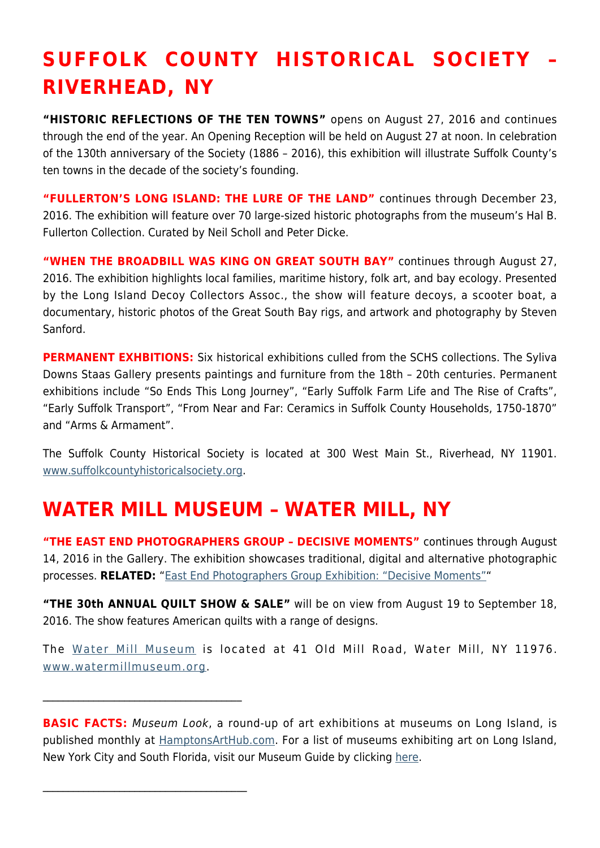# **SUFFOLK COUNTY HISTORICAL SOCIETY – RIVERHEAD, NY**

**"HISTORIC REFLECTIONS OF THE TEN TOWNS"** opens on August 27, 2016 and continues through the end of the year. An Opening Reception will be held on August 27 at noon. In celebration of the 130th anniversary of the Society (1886 – 2016), this exhibition will illustrate Suffolk County's ten towns in the decade of the society's founding.

**"FULLERTON'S LONG ISLAND: THE LURE OF THE LAND"** continues through December 23, 2016. The exhibition will feature over 70 large-sized historic photographs from the museum's Hal B. Fullerton Collection. Curated by Neil Scholl and Peter Dicke.

**"WHEN THE BROADBILL WAS KING ON GREAT SOUTH BAY"** continues through August 27, 2016. The exhibition highlights local families, maritime history, folk art, and bay ecology. Presented by the Long Island Decoy Collectors Assoc., the show will feature decoys, a scooter boat, a documentary, historic photos of the Great South Bay rigs, and artwork and photography by Steven Sanford.

**PERMANENT EXHBITIONS:** Six historical exhibitions culled from the SCHS collections. The Syliva Downs Staas Gallery presents paintings and furniture from the 18th – 20th centuries. Permanent exhibitions include "So Ends This Long Journey", "Early Suffolk Farm Life and The Rise of Crafts", "Early Suffolk Transport", "From Near and Far: Ceramics in Suffolk County Households, 1750-1870" and "Arms & Armament".

The Suffolk County Historical Society is located at 300 West Main St., Riverhead, NY 11901. [www.suffolkcountyhistoricalsociety.org.](http://www.suffolkcountyhistoricalsociety.org)

#### **WATER MILL MUSEUM – WATER MILL, NY**

 $\mathcal{L}_\text{max}$  , where  $\mathcal{L}_\text{max}$  and  $\mathcal{L}_\text{max}$  and  $\mathcal{L}_\text{max}$ 

 $\overline{\phantom{a}}$  , where  $\overline{\phantom{a}}$  , where  $\overline{\phantom{a}}$  , where  $\overline{\phantom{a}}$ 

**"THE EAST END PHOTOGRAPHERS GROUP – DECISIVE MOMENTS"** continues through August 14, 2016 in the Gallery. The exhibition showcases traditional, digital and alternative photographic processes. **RELATED:** "[East End Photographers Group Exhibition: "Decisive Moments""](https://hamptonsarthub.com/exhibition/east-end-photographers-group-exhibition-decisive-moments/)

**"THE 30th ANNUAL QUILT SHOW & SALE"** will be on view from August 19 to September 18, 2016. The show features American quilts with a range of designs.

The [Water Mill Museum](https://hamptonsarthub.com/museum-guide/water-mill-museum/) is located at 41 Old Mill Road, Water Mill, NY 11976. [www.watermillmuseum.org.](http://www.watermillmuseum.org)

**BASIC FACTS:** Museum Look, a round-up of art exhibitions at museums on Long Island, is published monthly at [HamptonsArtHub.com.](https://hamptonsarthub.com/) For a list of museums exhibiting art on Long Island, New York City and South Florida, visit our Museum Guide by clicking [here.](https://hamptonsarthub.com/museum-guide/hamptons/)